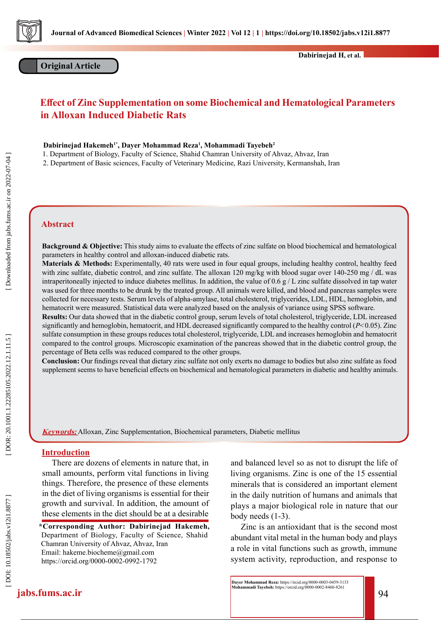

# **Effect of Zinc Supplementation on some Biochemical and Hematological Parameters in Alloxan Induced Diabetic Rats**

#### **Dabirinejad Hakemeh1\*, Dayer Mohammad Reza 1 , Mohammadi Tayebeh 2**

1. Department of Biology, Faculty of Science, Shahid Chamran University of Ahvaz, Ahvaz, Iran

2. Department of Basic sciences, Faculty of Veterinary Medicine, Razi University, Kermanshah, Iran

## **Abstract**

**Background & Objective:** This study aims to evaluate the effects of zinc sulfate on blood biochemical and hematological parameters in healthy control and alloxan-induced diabetic rats.

**Materials & Methods:** Experimentally, 40 rats were used in four equal groups, including healthy control, healthy feed with zinc sulfate, diabetic control, and zinc sulfate. The alloxan 120 mg/kg with blood sugar over 140-250 mg / dL was intraperitoneally injected to induce diabetes mellitus. In addition, the value of 0.6  $g/L$  zinc sulfate dissolved in tap water was used for three months to be drunk by the treated group. All animals were killed, and blood and pancreas samples were collected for necessary tests. Serum levels of alpha-amylase, total cholesterol, triglycerides, LDL, HDL, hemoglobin, and hematocrit were measured. Statistical data were analyzed based on the analysis of variance using SPSS software.

**Results:** Our data showed that in the diabetic control group, serum levels of total cholesterol, triglyceride, LDL increased significantly and hemoglobin, hematocrit, and HDL decreased significantly compared to the healthy control ( $P< 0.05$ ). Zinc sulfate consumption in these groups reduces total cholesterol, triglyceride, LDL and increases hemoglobin and hematocrit compared to the control groups. Microscopic examination of the pancreas showed that in the diabetic control group, the percentage of Beta cells was reduced compared to the other groups.

**Conclusion:** Our findings reveal that dietary zinc sulfate not only exerts no damage to bodies but also zinc sulfate as food supplement seems to have beneficial effects on biochemical and hematological parameters in diabetic and healthy animals.

**Keywords:** Alloxan, Zinc Supplementation, Biochemical parameters, Diabetic mellitus

#### **Introduction**

There are dozens of elements in nature that, in small amounts, perform vital functions in living things. Therefore, the presence of these elements in the diet of living organisms is essential for their growth and survival. In addition, the amount of these elements in the diet should be at a desirable

**\*Corresponding Author: Dabirinejad Hakemeh,**  Department of Biology, Faculty of Science, Shahid Chamran University of Ahvaz, Ahvaz, Iran Email: hakeme.biocheme@gmail.com https://orcid.org/0000-0002-0992-1792

and balanced level so as not to disrupt the life of living organisms. Zinc is one of the 15 essential minerals that is considered an important element in the daily nutrition of humans and animals that plays a major biological role in nature that our body needs (1-3).

Zinc is an antioxidant that is the second most abundant vital metal in the human body and plays a role in vital functions such as growth, immune system activity, reproduction, and response to

**jabs.fums.ac.ir** 94 **Dayer Mohammad Reza:** https://ircid.org/0000-0003-0459-3133 **Mohammadi Tayebeh:** https://orcid.org/0000-0002-8460-8261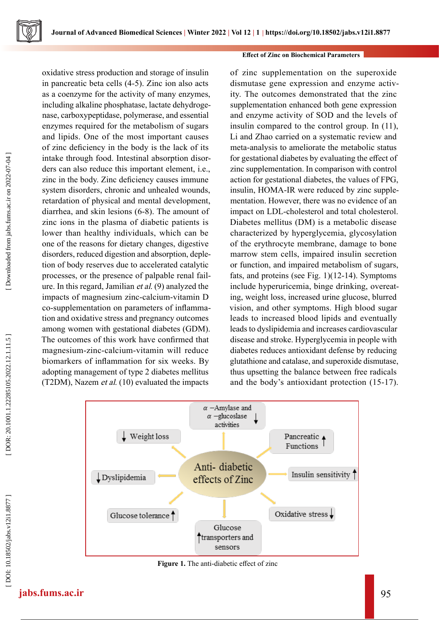oxidative stress production and storage of insulin in pancreatic beta cells (4-5). Zinc ion also acts as a coenzyme for the activity of many enzymes, including alkaline phosphatase, lactate dehydroge nase, carboxypeptidase, polymerase, and essential enzymes required for the metabolism of sugars and lipids. One of the most important causes of zinc deficiency in the body is the lack of its intake through food. Intestinal absorption disor ders can also reduce this important element, i.e., zinc in the body. Zinc deficiency causes immune system disorders, chronic and unhealed wounds, retardation of physical and mental development, diarrhea, and skin lesions (6-8). The amount of zinc ions in the plasma of diabetic patients is lower than healthy individuals, which can be one of the reasons for dietary changes, digestive disorders, reduced digestion and absorption, deple tion of body reserves due to accelerated catalytic processes, or the presence of palpable renal fail ure. In this regard, Jamilian et al. (9) analyzed the impacts of magnesium zinc-calcium-vitamin D co-supplementation on parameters of inflamma tion and oxidative stress and pregnancy outcomes among women with gestational diabetes (GDM). The outcomes of this work have confirmed that magnesium-zinc-calcium-vitamin will reduce biomarkers of inflammation for six weeks. By adopting management of type 2 diabetes mellitus (T2DM), Nazem et al. (10) evaluated the impacts

## **Effect of Zinc on Biochemical Parameters**

of zinc supplementation on the superoxide dismutase gene expression and enzyme activ ity. The outcomes demonstrated that the zinc supplementation enhanced both gene expression and enzyme activity of SOD and the levels of insulin compared to the control group. In (11), Li and Zhao carried on a systematic review and meta-analysis to ameliorate the metabolic status for gestational diabetes by evaluating the effect of zinc supplementation. In comparison with control action for gestational diabetes, the values of FPG, insulin, HOMA-IR were reduced by zinc supple mentation. However, there was no evidence of an impact on LDL-cholesterol and total cholesterol. Diabetes mellitus (DM) is a metabolic disease characterized by hyperglycemia, glycosylation of the erythrocyte membrane, damage to bone marrow stem cells, impaired insulin secretion or function, and impaired metabolism of sugars, fats, and proteins (see Fig. 1)(12-14). Symptoms include hyperuricemia, binge drinking, overeat ing, weight loss, increased urine glucose, blurred vision, and other symptoms. High blood sugar leads to increased blood lipids and eventually leads to dyslipidemia and increases cardiovascular disease and stroke. Hyperglycemia in people with diabetes reduces antioxidant defense by reducing glutathione and catalase, and superoxide dismutase, thus upsetting the balance between free radicals and the body's antioxidant protection (15-17).



**Figure 1.** The anti-diabetic effect of zinc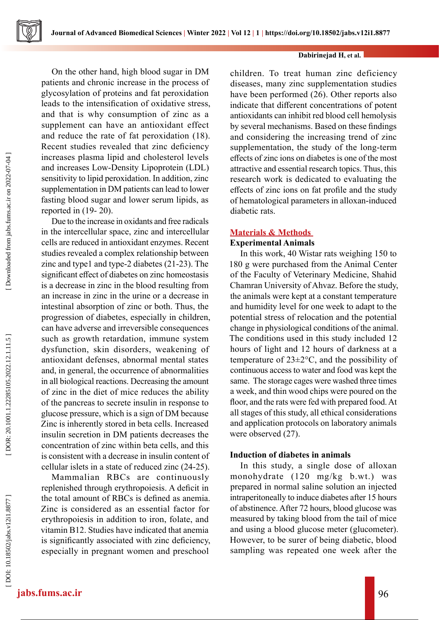

On the other hand, high blood sugar in DM patients and chronic increase in the process of glycosylation of proteins and fat peroxidation leads to the intensification of oxidative stress, and that is why consumption of zinc as a supplement can have an antioxidant effect and reduce the rate of fat peroxidation (18). Recent studies revealed that zinc deficiency increases plasma lipid and cholesterol levels and increases Low-Density Lipoprotein (LDL) sensitivity to lipid peroxidation. In addition, zinc supplementation in DM patients can lead to lower fasting blood sugar and lower serum lipids, as reported in (19- 20).

Due to the increase in oxidants and free radicals in the intercellular space, zinc and intercellular cells are reduced in antioxidant enzymes. Recent studies revealed a complex relationship between zinc and type1 and type-2 diabetes (21-23). The significant effect of diabetes on zinc homeostasis is a decrease in zinc in the blood resulting from an increase in zinc in the urine or a decrease in intestinal absorption of zinc or both. Thus, the progression of diabetes, especially in children, can have adverse and irreversible consequences such as growth retardation, immune system dysfunction, skin disorders, weakening of antioxidant defenses, abnormal mental states and, in general, the occurrence of abnormalities in all biological reactions. Decreasing the amount of zinc in the diet of mice reduces the ability of the pancreas to secrete insulin in response to glucose pressure, which is a sign of DM because Zinc is inherently stored in beta cells. Increased insulin secretion in DM patients decreases the concentration of zinc within beta cells, and this is consistent with a decrease in insulin content of cellular islets in a state of reduced zinc (24-25).

Mammalian RBCs are continuously replenished through erythropoiesis. A deficit in the total amount of RBCs is defined as anemia. Zinc is considered as an essential factor for erythropoiesis in addition to iron, folate, and vitamin B12. Studies have indicated that anemia is significantly associated with zinc deficiency, especially in pregnant women and preschool

children. To treat human zinc deficiency diseases, many zinc supplementation studies have been performed (26). Other reports also indicate that different concentrations of potent antioxidants can inhibit red blood cell hemolysis by several mechanisms. Based on these findings and considering the increasing trend of zinc supplementation, the study of the long-term effects of zinc ions on diabetes is one of the most attractive and essential research topics. Thus, this research work is dedicated to evaluating the effects of zinc ions on fat profile and the study of hematological parameters in alloxan-induced diabetic rats.

## **Materials & Methods**

## **Experimental Animals**

In this work, 40 Wistar rats weighing 150 to 180 g were purchased from the Animal Center of the Faculty of Veterinary Medicine, Shahid Chamran University of Ahvaz. Before the study, the animals were kept at a constant temperature and humidity level for one week to adapt to the potential stress of relocation and the potential change in physiological conditions of the animal. The conditions used in this study included 12 hours of light and 12 hours of darkness at a temperature of 23±2°C, and the possibility of continuous access to water and food was kept the same. The storage cages were washed three times a week, and thin wood chips were poured on the floor, and the rats were fed with prepared food. At all stages of this study, all ethical considerations and application protocols on laboratory animals were observed (27).

# **Induction of diabetes in animals**

In this study, a single dose of alloxan monohydrate (120 mg/kg b.wt.) was prepared in normal saline solution an injected intraperitoneally to induce diabetes after 15 hours of abstinence. After 72 hours, blood glucose was measured by taking blood from the tail of mice and using a blood glucose meter (glucometer). However, to be surer of being diabetic, blood sampling was repeated one week after the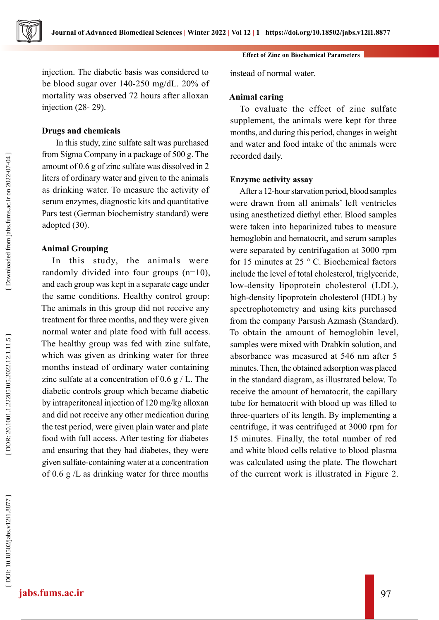injection. The diabetic basis was considered to be blood sugar over 140-250 mg/dL. 20% of mortality was observed 72 hours after alloxan injection (28- 29).

## **Drugs and chemicals**

 In this study, zinc sulfate salt was purchased from Sigma Company in a package of 500 g. The amount of 0.6 g of zinc sulfate was dissolved in 2 liters of ordinary water and given to the animals as drinking water. To measure the activity of serum enzymes, diagnostic kits and quantitative Pars test (German biochemistry standard) were adopted (30).

# **Animal Grouping**

In this study, the animals were randomly divided into four groups (n=10), and each group was kept in a separate cage under the same conditions. Healthy control group: The animals in this group did not receive any treatment for three months, and they were given normal water and plate food with full access. The healthy group was fed with zinc sulfate, which was given as drinking water for three months instead of ordinary water containing zinc sulfate at a concentration of  $0.6 \text{ g}$  / L. The diabetic controls group which became diabetic by intraperitoneal injection of 120 mg/kg alloxan and did not receive any other medication during the test period, were given plain water and plate food with full access. After testing for diabetes and ensuring that they had diabetes, they were given sulfate-containing water at a concentration of 0.6 g /L as drinking water for three months

**Effect of Zinc on Biochemical Parameters** 

instead of normal water.

## **Animal caring**

To evaluate the effect of zinc sulfate supplement, the animals were kept for three months, and during this period, changes in weight and water and food intake of the animals were recorded daily.

## **Enzyme activity assay**

After a 12-hour starvation period, blood samples were drawn from all animals' left ventricles using anesthetized diethyl ether. Blood samples were taken into heparinized tubes to measure hemoglobin and hematocrit, and serum samples were separated by centrifugation at 3000 rpm for 15 minutes at 25 ° C. Biochemical factors include the level of total cholesterol, triglyceride, low-density lipoprotein cholesterol (LDL), high-density lipoprotein cholesterol (HDL) by spectrophotometry and using kits purchased from the company Parsush Azmash (Standard). To obtain the amount of hemoglobin level, samples were mixed with Drabkin solution, and absorbance was measured at 546 nm after 5 minutes. Then, the obtained adsorption was placed in the standard diagram, as illustrated below. To receive the amount of hematocrit, the capillary tube for hematocrit with blood up was filled to three-quarters of its length. By implementing a centrifuge, it was centrifuged at 3000 rpm for 15 minutes. Finally, the total number of red and white blood cells relative to blood plasma was calculated using the plate. The flowchart of the current work is illustrated in Figure 2.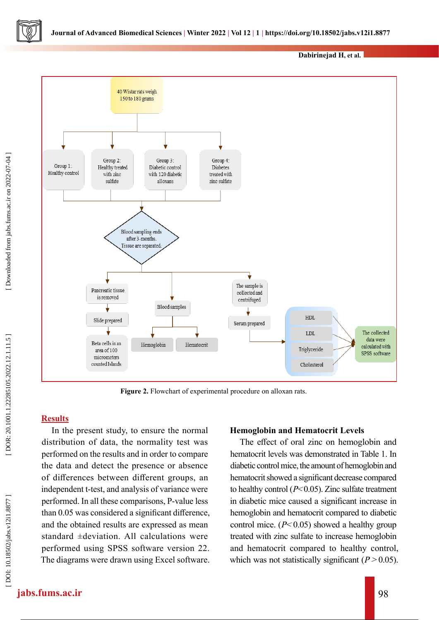

Figure 2. Flowchart of experimental procedure on alloxan rats.

# **Results**

In the present study, to ensure the normal distribution of data, the normality test was performed on the results and in order to compare the data and detect the presence or absence of differences between different groups, an independent t-test, and analysis of variance were performed. In all these comparisons, P-value less than 0.05 was considered a significant difference, and the obtained results are expressed as mean standard ±deviation. All calculations were performed using SPSS software version 22. The diagrams were drawn using Excel software.

# **Hemoglobin and Hematocrit Levels**

The effect of oral zinc on hemoglobin and hematocrit levels was demonstrated in Table 1. In diabetic control mice, the amount of hemoglobin and hematocrit showed a significant decrease compared to healthy control  $(P< 0.05)$ . Zinc sulfate treatment in diabetic mice caused a significant increase in hemoglobin and hematocrit compared to diabetic control mice.  $(P< 0.05)$  showed a healthy group treated with zinc sulfate to increase hemoglobin and hematocrit compared to healthy control, which was not statistically significant ( $P > 0.05$ ).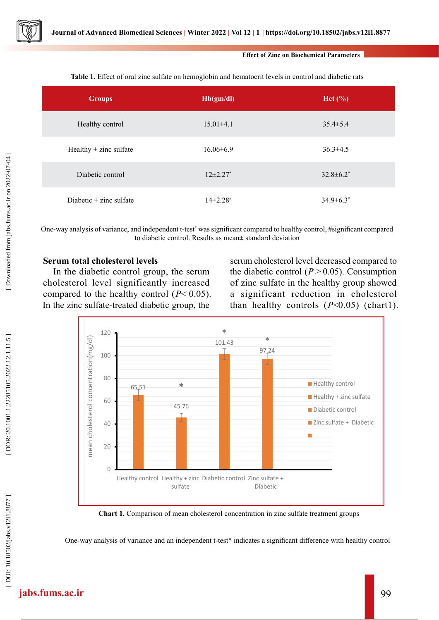

#### **Effect of Zinc on Biochemical Parameters**

| <b>Groups</b>             | Hb(gm/dl)      | $\text{Het}$ (%) |
|---------------------------|----------------|------------------|
| Healthy control           | $15.01\pm4.1$  | $35.4 \pm 5.4$   |
| $Healthy + zinc$ sulfate  | $16.06\pm 6.9$ | $36.3 \pm 4.5$   |
| Diabetic control          | $12\pm2.27$ *  | $32.8 \pm 6.2^*$ |
| Diabetic $+$ zinc sulfate | $14\pm2.28$ #  | $34.9 \pm 6.3$   |

**Table 1.** Effect of oral zinc sulfate on hemoglobin and hematocrit levels in control and diabetic rats

One-way analysis of variance, and independent t-test<sup>\*</sup> was significant compared to healthy control, #significant compared to diabetic control. Results as mean± standard deviation

# **Serum total cholesterol levels**

In the diabetic control group, the serum cholesterol level significantly increased compared to the healthy control  $(P< 0.05)$ . In the zinc sulfate-treated diabetic group, the

serum cholesterol level decreased compared to the diabetic control ( $P > 0.05$ ). Consumption of zinc sulfate in the healthy group showed a significant reduction in cholesterol than healthy controls  $(P<0.05)$  (chart1).



**Chart 1.** Comparison of mean cholesterol concentration in zinc sulfate treatment groups

One-way analysis of variance and an independent t-test\* indicates a significant difference with healthy control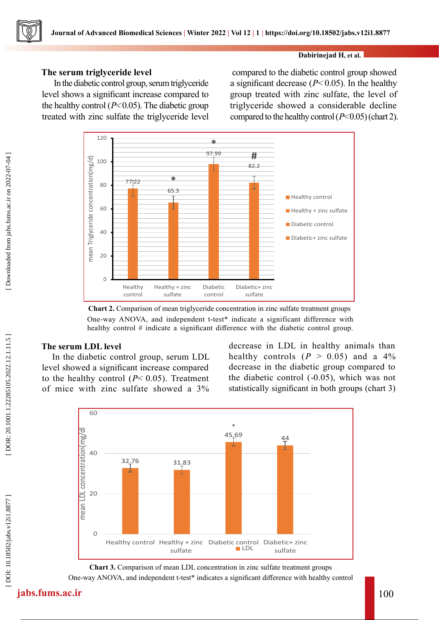# **The serum triglyceride level**

 In the diabetic control group, serum triglyceride level shows a significant increase compared to the healthy control  $(P< 0.05)$ . The diabetic group treated with zinc sulfate the triglyceride level

 compared to the diabetic control group showed a significant decrease ( $P< 0.05$ ). In the healthy group treated with zinc sulfate, the level of triglyceride showed a considerable decline compared to the healthy control  $(P< 0.05)$  (chart 2).



**Chart 2.** Comparison of mean triglyceride concentration in zinc sulfate treatment groups One-way ANOVA, and independent t-test\* indicate a significant difference with healthy control # indicate a significant difference with the diabetic control group.

# **The serum LDL level**

In the diabetic control group, serum LDL level showed a significant increase compared to the healthy control  $(P< 0.05)$ . Treatment of mice with zinc sulfate showed a 3%

decrease in LDL in healthy animals than healthy controls  $(P > 0.05)$  and a 4% decrease in the diabetic group compared to the diabetic control ( -0.05), which was not statistically significant in both groups (chart 3)



**Chart 3.** Comparison of mean LDL concentration in zinc sulfate treatment groups One-way ANOVA, and independent t-test\* indicates a significant difference with healthy control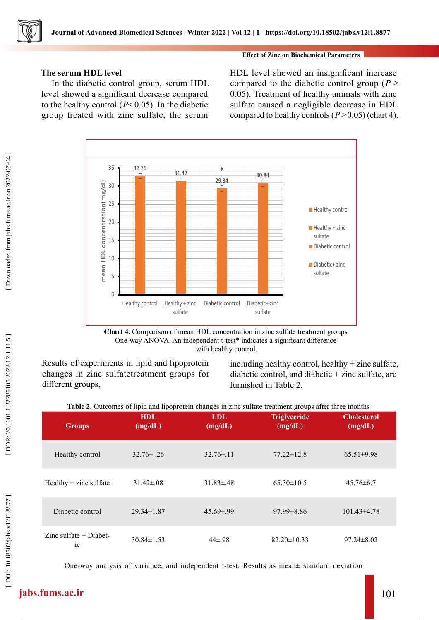# **The serum HDL level**

In the diabetic control group, serum HDL level showed a significant decrease compared to the healthy control ( $P<0.05$ ). In the diabetic group treated with zinc sulfate, the serum

## **Effect of Zinc on Biochemical Parameters**

HDL level showed an insignificant increase compared to the diabetic control group ( $P >$ 0.05). Treatment of healthy animals with zinc sulfate caused a negligible decrease in HDL compared to healthy controls  $(P > 0.05)$  (chart 4).



**Chart 4.** Comparison of mean HDL concentration in zinc sulfate treatment groups One-way ANOVA. An independent t-test\* indicates a significant difference with healthy control.

Results of experiments in lipid and lipoprotein changes in zinc sulfatetreatment groups for different groups,

including healthy control, healthy  $+$  zinc sulfate, diabetic control, and diabetic + zinc sulfate, are furnished in Table 2.

|  |  |  |  |  | Table 2. Outcomes of lipid and lipoprotein changes in zinc sulfate treatment groups after three months |
|--|--|--|--|--|--------------------------------------------------------------------------------------------------------|
|--|--|--|--|--|--------------------------------------------------------------------------------------------------------|

| <b>Groups</b>                              | <b>HDL</b><br>(mg/dL) | LDL.<br>(mg/dL) | <b>Triglyceride</b><br>(mg/dL) | <b>Cholesterol</b><br>(mg/dL) |
|--------------------------------------------|-----------------------|-----------------|--------------------------------|-------------------------------|
| Healthy control                            | $32.76\pm.26$         | $32.76\pm.11$   | $77.22 \pm 12.8$               | $65.51 \pm 9.98$              |
| Healthy $+$ zinc sulfate                   | $31.42 \pm .08$       | $31.83 \pm .48$ | $65.30 \pm 10.5$               | $45.76 \pm 6.7$               |
| Diabetic control                           | $29.34 \pm 1.87$      | $45.69 \pm .99$ | $97.99 \pm 8.86$               | $101.43\pm4.78$               |
| Zinc sulfate $+$ Diabet-<br>1 <sup>C</sup> | $30.84 \pm 1.53$      | $44\pm.98$      | $82.20 \pm 10.33$              | $97.24 \pm 8.02$              |

One-way analysis of variance, and independent t-test. Results as mean± standard deviation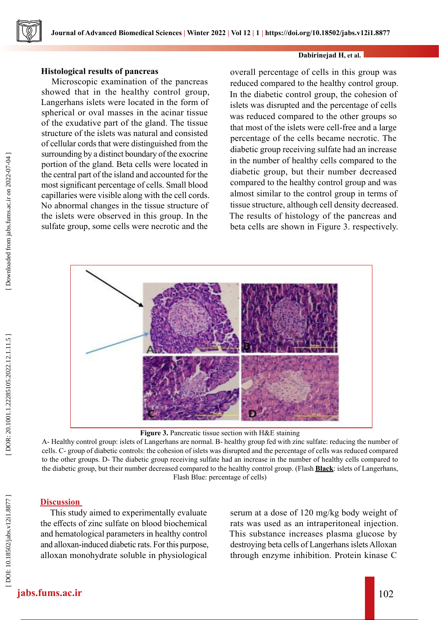## **Histological results of pancreas**

Microscopic examination of the pancreas showed that in the healthy control group, Langerhans islets were located in the form of spherical or oval masses in the acinar tissue of the exudative part of the gland. The tissue structure of the islets was natural and consisted of cellular cords that were distinguished from the surrounding by a distinct boundary of the exocrine portion of the gland. Beta cells were located in the central part of the island and accounted for the most significant percentage of cells. Small blood capillaries were visible along with the cell cords. No abnormal changes in the tissue structure of the islets were observed in this group. In the sulfate group, some cells were necrotic and the

overall percentage of cells in this group was reduced compared to the healthy control group. In the diabetic control group, the cohesion of islets was disrupted and the percentage of cells was reduced compared to the other groups so that most of the islets were cell-free and a large percentage of the cells became necrotic. The diabetic group receiving sulfate had an increase in the number of healthy cells compared to the diabetic group, but their number decreased compared to the healthy control group and was almost similar to the control group in terms of tissue structure, although cell density decreased. The results of histology of the pancreas and beta cells are shown in Figure 3. respectively.



**Figure 3.** Pancreatic tissue section with H&E staining

A- Healthy control group: islets of Langerhans are normal. B- healthy group fed with zinc sulfate: reducing the number of cells. C- group of diabetic controls: the cohesion of islets was disrupted and the percentage of cells was reduced compared to the other groups. D- The diabetic group receiving sulfate had an increase in the number of healthy cells compared to the diabetic group, but their number decreased compared to the healthy control group. (Flash **Black**: islets of Langerhans, Flash Blue: percentage of cells)

# **Discussion**

This study aimed to experimentally evaluate the effects of zinc sulfate on blood biochemical and hematological parameters in healthy control and alloxan-induced diabetic rats. For this purpose, alloxan monohydrate soluble in physiological

serum at a dose of 120 mg/kg body weight of rats was used as an intraperitoneal injection. This substance increases plasma glucose by destroying beta cells of Langerhans islets Alloxan through enzyme inhibition. Protein kinase C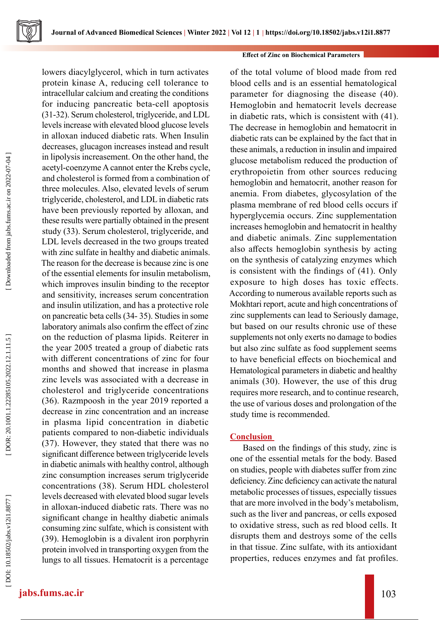

lowers diacylglycerol, which in turn activates protein kinase A, reducing cell tolerance to intracellular calcium and creating the conditions for inducing pancreatic beta-cell apoptosis (31-32). Serum cholesterol, triglyceride, and LDL levels increase with elevated blood glucose levels in alloxan induced diabetic rats. When Insulin decreases, glucagon increases instead and result in lipolysis increasement. On the other hand, the acetyl-coenzyme A cannot enter the Krebs cycle, and cholesterol is formed from a combination of three molecules. Also, elevated levels of serum triglyceride, cholesterol, and LDL in diabetic rats have been previously reported by alloxan, and these results were partially obtained in the present study (33). Serum cholesterol, triglyceride, and LDL levels decreased in the two groups treated with zinc sulfate in healthy and diabetic animals. The reason for the decrease is because zinc is one of the essential elements for insulin metabolism, which improves insulin binding to the receptor and sensitivity, increases serum concentration and insulin utilization, and has a protective role on pancreatic beta cells (34- 35). Studies in some laboratory animals also confirm the effect of zinc on the reduction of plasma lipids. Reiterer in the year 2005 treated a group of diabetic rats with different concentrations of zinc for four months and showed that increase in plasma zinc levels was associated with a decrease in cholesterol and triglyceride concentrations (36). Razmpoosh in the year 2019 reported a decrease in zinc concentration and an increase in plasma lipid concentration in diabetic patients compared to non-diabetic individuals (37). However, they stated that there was no significant difference between triglyceride levels in diabetic animals with healthy control, although zinc consumption increases serum triglyceride concentrations (38). Serum HDL cholesterol levels decreased with elevated blood sugar levels in alloxan-induced diabetic rats. There was no significant change in healthy diabetic animals consuming zinc sulfate, which is consistent with (39). Hemoglobin is a divalent iron porphyrin protein involved in transporting oxygen from the lungs to all tissues. Hematocrit is a percentage

## **Effect of Zinc on Biochemical Parameters**

of the total volume of blood made from red blood cells and is an essential hematological parameter for diagnosing the disease (40). Hemoglobin and hematocrit levels decrease in diabetic rats, which is consistent with (41). The decrease in hemoglobin and hematocrit in diabetic rats can be explained by the fact that in these animals, a reduction in insulin and impaired glucose metabolism reduced the production of erythropoietin from other sources reducing hemoglobin and hematocrit, another reason for anemia. From diabetes, glycosylation of the plasma membrane of red blood cells occurs if hyperglycemia occurs. Zinc supplementation increases hemoglobin and hematocrit in healthy and diabetic animals. Zinc supplementation also affects hemoglobin synthesis by acting on the synthesis of catalyzing enzymes which is consistent with the findings of (41). Only exposure to high doses has toxic effects. According to numerous available reports such as Mokhtari report, acute and high concentrations of zinc supplements can lead to Seriously damage, but based on our results chronic use of these supplements not only exerts no damage to bodies but also zinc sulfate as food supplement seems to have beneficial effects on biochemical and Hematological parameters in diabetic and healthy animals (30). However, the use of this drug requires more research, and to continue research, the use of various doses and prolongation of the study time is recommended.

# **Conclusion**

 Based on the findings of this study, zinc is one of the essential metals for the body. Based on studies, people with diabetes suffer from zinc deficiency. Zinc deficiency can activate the natural metabolic processes of tissues, especially tissues that are more involved in the body's metabolism, such as the liver and pancreas, or cells exposed to oxidative stress, such as red blood cells. It disrupts them and destroys some of the cells in that tissue. Zinc sulfate, with its antioxidant properties, reduces enzymes and fat profiles.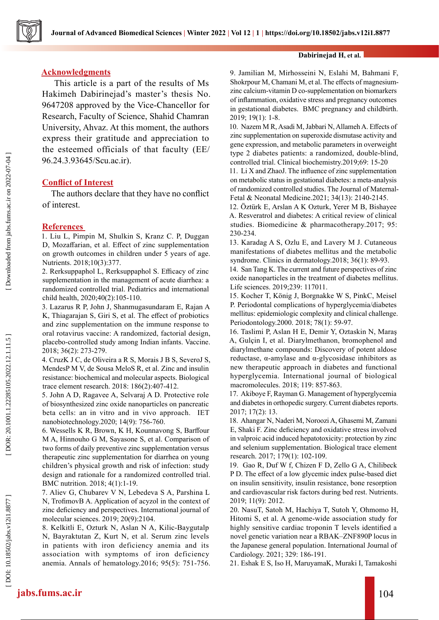

## **Acknowledgments**

 This article is a part of the results of Ms Hakimeh Dabirinejad's master's thesis No. 9647208 approved by the Vice-Chancellor for Research, Faculty of Science, Shahid Chamran University, Ahvaz. At this moment, the authors express their gratitude and appreciation to the esteemed officials of that faculty (EE/ 96.24.3.93645/Scu.ac.ir).

# **Conflict of Interest**

 The authors declare that they have no conflict of interest.

## **References**

1. Liu L, Pimpin M, Shulkin S, Kranz C. P, Duggan D, Mozaffarian, et al. Effect of zinc supplementation on growth outcomes in children under 5 years of age. Nutrients. 2018;10(3):377.

2. Rerksuppaphol L, Rerksuppaphol S. Efficacy of zinc supplementation in the management of acute diarrhea: a randomized controlled trial. Pediatrics and international child health, 2020;40(2):105-110.

3. Lazarus R P, John J, Shanmugasundaram E, Rajan A K, Thiagarajan S, Giri S, et al. The effect of probiotics and zinc supplementation on the immune response to oral rotavirus vaccine: A randomized, factorial design, placebo-controlled study among Indian infants. Vaccine. 2018; 36(2): 273-279.

4. CruzK J C, de Oliveira a R S, Morais J B S, SeveroJ S, MendesP M V, de Sousa MeloS R, et al. Zinc and insulin resistance: biochemical and molecular aspects. Biological trace element research. 2018: 186(2):407-412.

5. John A D, Ragavee A, Selvaraj A D. Protective role of biosynthesized zinc oxide nanoparticles on pancreatic beta cells: an in vitro and in vivo approach. IET nanobiotechnology.2020; 14(9): 756-760.

6. Wessells K R, Brown, K H, Kounnavong S, Barffour M A, Hinnouho G M, Sayasone S, et al. Comparison of two forms of daily preventive zinc supplementation versus therapeutic zinc supplementation for diarrhea on young children's physical growth and risk of infection: study design and rationale for a randomized controlled trial. BMC nutrition. 2018; 4(1):1-19.

7. Aliev G, Chubarev V N, Lebedeva S A, Parshina L N, TrofimovB A. Application of acyzol in the context of zinc deficiency and perspectives. International journal of molecular sciences. 2019; 20(9):2104.

8. Kelkitli E, Ozturk N, Aslan N A, Kilic-Baygutalp N, Bayraktutan Z, Kurt N, et al. Serum zinc levels in patients with iron deficiency anemia and its association with symptoms of iron deficiency anemia. Annals of hematology.2016; 95(5): 751-756.

#### **Dabirinejad H, et al.**

9. Jamilian M, Mirhosseini N, Eslahi M, Bahmani F, Shokrpour M, Chamani M, et al. The effects of magnesiumzinc calcium-vitamin D co-supplementation on biomarkers of inflammation, oxidative stress and pregnancy outcomes in gestational diabetes. BMC pregnancy and childbirth. 2019; 19(1): 1-8.

10. Nazem M R, Asadi M, Jabbari N, Allameh A. Effects of zinc supplementation on superoxide dismutase activity and gene expression, and metabolic parameters in overweight type 2 diabetes patients: a randomized, double-blind, controlled trial. Clinical biochemistry.2019;69: 15-20

11. Li X and ZhaoJ. The influence of zinc supplementation on metabolic status in gestational diabetes: a meta-analysis of randomized controlled studies. The Journal of Maternal-Fetal & Neonatal Medicine.2021; 34(13): 2140-2145.

12. Öztürk E, Arslan A K Ozturk, Yerer M B, Bishayee A. Resveratrol and diabetes: A critical review of clinical studies. Biomedicine & pharmacotherapy.2017; 95: 230-234.

13. Karadag A S, Ozlu E, and Lavery M J. Cutaneous manifestations of diabetes mellitus and the metabolic syndrome. Clinics in dermatology.2018; 36(1): 89-93.

14. San Tang K. The current and future perspectives of zinc oxide nanoparticles in the treatment of diabetes mellitus. Life sciences. 2019;239: 117011.

15. Kocher T, König J, Borgnakke W S, PinkC, Meisel P. Periodontal complications of hyperglycemia/diabetes mellitus: epidemiologic complexity and clinical challenge. Periodontology.2000. 2018; 78(1): 59-97.

16. Taslimi P, Aslan H E, Demir Y, Oztaskin N, Maraş A, Gulçin I, et al. Diarylmethanon, bromophenol and diarylmethane compounds: Discovery of potent aldose reductase, α-amylase and α-glycosidase inhibitors as new therapeutic approach in diabetes and functional hyperglycemia. International journal of biological macromolecules. 2018; 119: 857-863.

17. Akiboye F, Rayman G. Management of hyperglycemia and diabetes in orthopedic surgery. Current diabetes reports. 2017; 17(2): 13.

18. Ahangar N, Naderi M, Noroozi A, Ghasemi M, Zamani E, Shaki F. Zinc deficiency and oxidative stress involved in valproic acid induced hepatotoxicity: protection by zinc and selenium supplementation. Biological trace element research. 2017; 179(1): 102-109.

19. Gao R, Duf W f, Chizen F D, Zello G A, Chilibeck P D. The effect of a low glycemic index pulse-based diet on insulin sensitivity, insulin resistance, bone resorption and cardiovascular risk factors during bed rest. Nutrients. 2019; 11(9): 2012.

20. NasuT, Satoh M, Hachiya T, Sutoh Y, Ohmomo H, Hitomi S, et al. A genome-wide association study for highly sensitive cardiac troponin T levels identified a novel genetic variation near a RBAK–ZNF890P locus in the Japanese general population. International Journal of Cardiology. 2021; 329: 186-191.

21. Eshak E S, Iso H, MaruyamaK, Muraki I, Tamakoshi